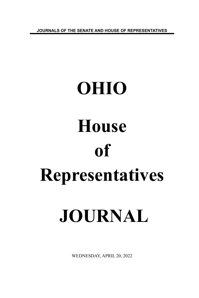**JOURNALS OF THE SENATE AND HOUSE OF REPRESENTATIVES**

# **OHIO House of Representatives JOURNAL**

WEDNESDAY, APRIL 20, 2022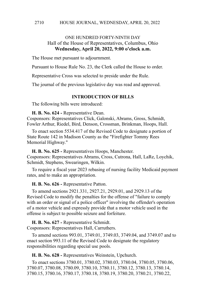# ONE HUNDRED FORTY-NINTH DAY Hall of the House of Representatives, Columbus, Ohio **Wednesday, April 20, 2022, 9:00 o'clock a.m.**

The House met pursuant to adjournment.

Pursuant to House Rule No. 23, the Clerk called the House to order.

Representative Cross was selected to preside under the Rule.

The journal of the previous legislative day was read and approved.

### **INTRODUCTION OF BILLS**

The following bills were introduced:

**H. B. No. 624 -** Representative Dean.

Cosponsors: Representatives Click, Galonski, Abrams, Gross, Schmidt, Fowler Arthur, Riedel, Bird, Denson, Crossman, Brinkman, Hoops, Hall.

To enact section 5534.417 of the Revised Code to designate a portion of State Route 142 in Madison County as the "Firefighter Tommy Rees Memorial Highway."

**H. B. No. 625 -** Representatives Hoops, Manchester. Cosponsors: Representatives Abrams, Cross, Cutrona, Hall, LaRe, Loychik, Schmidt, Stephens, Swearingen, Wilkin.

To require a fiscal year 2023 rebasing of nursing facility Medicaid payment rates, and to make an appropriation.

**H. B. No. 626 -** Representative Patton.

To amend sections 2921.331, 2927.21, 2929.01, and 2929.13 of the Revised Code to modify the penalties for the offense of "failure to comply with an order or signal of a police officer" involving the offender's operation of a motor vehicle and expressly provide that a motor vehicle used in the offense is subject to possible seizure and forfeiture.

**H. B. No. 627 -** Representative Schmidt. Cosponsors: Representatives Hall, Carruthers.

To amend sections 993.01, 3749.01, 3749.03, 3749.04, and 3749.07 and to enact section 993.11 of the Revised Code to designate the regulatory responsibilities regarding special use pools.

**H. B. No. 628 -** Representatives Weinstein, Upchurch.

To enact sections 3780.01, 3780.02, 3780.03, 3780.04, 3780.05, 3780.06, 3780.07, 3780.08, 3780.09, 3780.10, 3780.11, 3780.12, 3780.13, 3780.14, 3780.15, 3780.16, 3780.17, 3780.18, 3780.19, 3780.20, 3780.21, 3780.22,